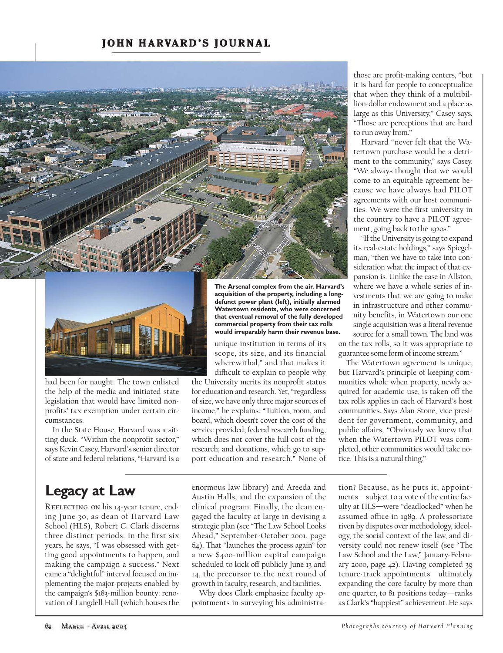## **JOHN HARVARD'S JOURNAL**





had been for naught. The town enlisted the help of the media and initiated state legislation that would have limited nonprofits' tax exemption under certain circumstances.

In the State House, Harvard was a sitting duck. "Within the nonprofit sector," says Kevin Casey, Harvard's senior director of state and federal relations, "Harvard is a

## **Legacy at Law**

Reflecting on his 14-year tenure, ending June 30, as dean of Harvard Law School (HLS), Robert C. Clark discerns three distinct periods. In the first six years, he says, "I was obsessed with getting good appointments to happen, and making the campaign a success." Next came a "delightful" interval focused on implementing the major projects enabled by the campaign's \$183-million bounty: renovation of Langdell Hall (which houses the

**The Arsenal complex from the air. Harvard's acquisition of the property, including a longdefunct power plant (left), initially alarmed Watertown residents, who were concerned that eventual removal of the fully developed commercial property from their tax rolls would irreparably harm their revenue base.**

unique institution in terms of its scope, its size, and its financial wherewithal," and that makes it difficult to explain to people why

the University merits its nonprofit status for education and research. Yet, "regardless of size, we have only three major sources of income," he explains: "Tuition, room, and board, which doesn't cover the cost of the service provided; federal research funding, which does not cover the full cost of the research; and donations, which go to support education and research." None of

enormous law library) and Areeda and Austin Halls, and the expansion of the clinical program. Finally, the dean engaged the faculty at large in devising a strategic plan (see "The Law School Looks Ahead," September-October 2001, page 64). That "launches the process again" for a new \$400-million capital campaign scheduled to kick off publicly June 13 and 14, the precursor to the next round of growth in faculty, research, and facilities.

Why does Clark emphasize faculty appointments in surveying his administrathose are profit-making centers, "but it is hard for people to conceptualize that when they think of a multibillion-dollar endowment and a place as large as this University," Casey says. "Those are perceptions that are hard to run away from."

Harvard "never felt that the Watertown purchase would be a detriment to the community," says Casey. "We always thought that we would come to an equitable agreement because we have always had PILOT agreements with our host communities. We were the first university in the country to have a PILOT agreement, going back to the 1920s."

"If the University is going to expand its real-estate holdings," says Spiegelman, "then we have to take into consideration what the impact of that expansion is. Unlike the case in Allston, where we have a whole series of investments that we are going to make in infrastructure and other community benefits, in Watertown our one single acquisition was a literal revenue source for a small town. The land was

on the tax rolls, so it was appropriate to guarantee some form of income stream."

The Watertown agreement is unique, but Harvard's principle of keeping communities whole when property, newly acquired for academic use, is taken off the tax rolls applies in each of Harvard's host communities. Says Alan Stone, vice president for government, community, and public affairs, "Obviously we knew that when the Watertown PILOT was completed, other communities would take notice. This is a natural thing."

tion? Because, as he puts it, appointments—subject to a vote of the entire faculty at HLS—were "deadlocked" when he assumed office in 1989. A professoriate riven by disputes over methodology, ideology, the social context of the law, and diversity could not renew itself (see "The Law School and the Law," January-February 2000, page 42). Having completed 39 tenure-track appointments—ultimately expanding the core faculty by more than one quarter, to 81 positions today—ranks as Clark's "happiest" achievement. He says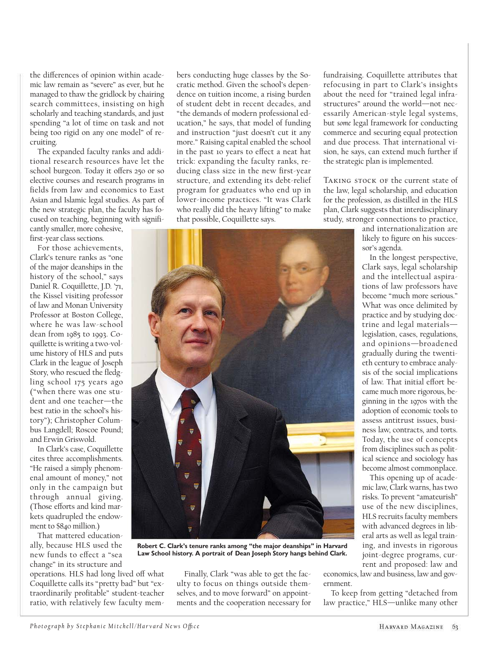the differences of opinion within academic law remain as "severe" as ever, but he managed to thaw the gridlock by chairing search committees, insisting on high scholarly and teaching standards, and just spending "a lot of time on task and not being too rigid on any one model" of recruiting.

The expanded faculty ranks and additional research resources have let the school burgeon. Today it offers 250 or so elective courses and research programs in fields from law and economics to East Asian and Islamic legal studies. As part of the new strategic plan, the faculty has focused on teaching, beginning with significantly smaller, more cohesive,

first-year class sections.

For those achievements, Clark's tenure ranks as "one of the major deanships in the history of the school," says Daniel R. Coquillette, J.D. '71, the Kissel visiting professor of law and Monan University Professor at Boston College, where he was law-school dean from 1985 to 1993. Coquillette is writing a two-volume history of HLS and puts Clark in the league of Joseph Story, who rescued the fledgling school 175 years ago ("when there was one student and one teacher—the best ratio in the school's history"); Christopher Columbus Langdell; Roscoe Pound; and Erwin Griswold.

In Clark's case, Coquillette cites three accomplishments. "He raised a simply phenomenal amount of money," not only in the campaign but through annual giving. (Those efforts and kind markets quadrupled the endowment to \$840 million.)

That mattered educationally, because HLS used the new funds to effect a "sea change" in its structure and

operations. HLS had long lived off what Coquillette calls its "pretty bad" but "extraordinarily profitable" student-teacher ratio, with relatively few faculty members conducting huge classes by the Socratic method. Given the school's dependence on tuition income, a rising burden of student debt in recent decades, and "the demands of modern professional education," he says, that model of funding and instruction "just doesn't cut it any more." Raising capital enabled the school in the past 10 years to effect a neat hat trick: expanding the faculty ranks, reducing class size in the new first-year structure, and extending its debt-relief program for graduates who end up in lower-income practices. "It was Clark who really did the heavy lifting" to make that possible, Coquillette says.

fundraising. Coquillette attributes that refocusing in part to Clark's insights about the need for "trained legal infrastructures" around the world—not necessarily American-style legal systems, but *some* legal framework for conducting commerce and securing equal protection and due process. That international vision, he says, can extend much further if the strategic plan is implemented.

Taking stock of the current state of the law, legal scholarship, and education for the profession, as distilled in the HLS plan, Clark suggests that interdisciplinary study, stronger connections to practice,

> and internationalization are likely to figure on his successor's agenda.

> In the longest perspective, Clark says, legal scholarship and the intellectual aspirations of law professors have become "much more serious." What was once delimited by practice and by studying doctrine and legal materials legislation, cases, regulations, and opinions—broadened gradually during the twentieth century to embrace analysis of the social implications of law. That initial effort became much more rigorous, beginning in the 1970s with the adoption of economic tools to assess antitrust issues, business law, contracts, and torts. Today, the use of concepts from disciplines such as political science and sociology has become almost commonplace.

This opening up of academic law, Clark warns, has two risks. To prevent "amateurish" use of the new disciplines, HLS recruits faculty members with advanced degrees in liberal arts as well as legal training, and invests in rigorous joint-degree programs, current and proposed: law and

economics, law and business, law and government.

To keep from getting "detached from law practice," HLS—unlike many other

**Robert C. Clark's tenure ranks among "the major deanships" in Harvard Law School history. A portrait of Dean Joseph Story hangs behind Clark.**